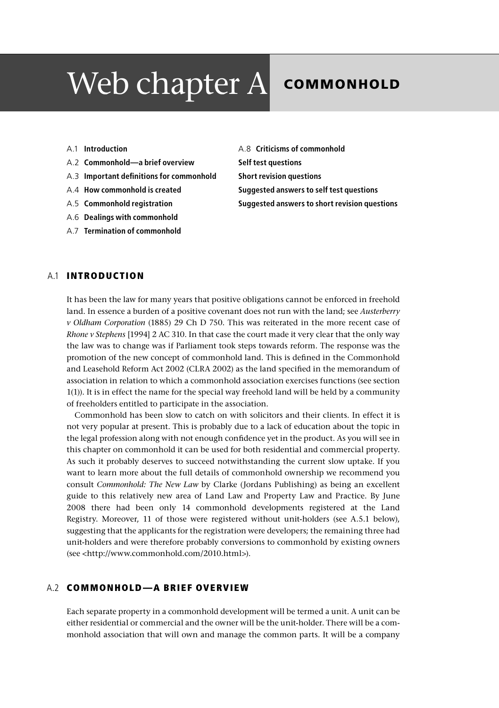# Web chapter A commonHoLD

- A.1 **Introduction**
- A.2 **Commonhold—a brief overview**
- A.3 **Important definitions for commonhold**
- A.4 **How commonhold is created**
- A.5 **Commonhold registration**
- A.6 **Dealings with commonhold**
- A.7 **Termination of commonhold**

A.8 **Criticisms of commonhold Self test questions Short revision questions Suggested answers to self test questions Suggested answers to short revision questions**

#### A.1 **INTRODUCTION**

It has been the law for many years that positive obligations cannot be enforced in freehold land. In essence a burden of a positive covenant does not run with the land; see *Austerberry v Oldham Corporation* (1885) 29 Ch D 750. This was reiterated in the more recent case of *Rhone v Stephens* [1994] 2 AC 310. In that case the court made it very clear that the only way the law was to change was if Parliament took steps towards reform. The response was the promotion of the new concept of commonhold land. This is defined in the Commonhold and Leasehold Reform Act 2002 (CLRA 2002) as the land specified in the memorandum of association in relation to which a commonhold association exercises functions (see section 1(1)). It is in effect the name for the special way freehold land will be held by a community of freeholders entitled to participate in the association.

Commonhold has been slow to catch on with solicitors and their clients. In effect it is not very popular at present. This is probably due to a lack of education about the topic in the legal profession along with not enough confidence yet in the product. As you will see in this chapter on commonhold it can be used for both residential and commercial property. As such it probably deserves to succeed notwithstanding the current slow uptake. If you want to learn more about the full details of commonhold ownership we recommend you consult *Commonhold: The New Law* by Clarke (Jordans Publishing) as being an excellent guide to this relatively new area of Land Law and Property Law and Practice. By June 2008 there had been only 14 commonhold developments registered at the Land Registry. Moreover, 11 of those were registered without unit-holders (see A.5.1 below), suggesting that the applicants for the registration were developers; the remaining three had unit-holders and were therefore probably conversions to commonhold by existing owners (see <http://www.commonhold.com/2010.html>).

# A.2 **COMMONHOLD—A BRIEF OVERVIEW**

Each separate property in a commonhold development will be termed a unit. A unit can be either residential or commercial and the owner will be the unit-holder. There will be a commonhold association that will own and manage the common parts. It will be a company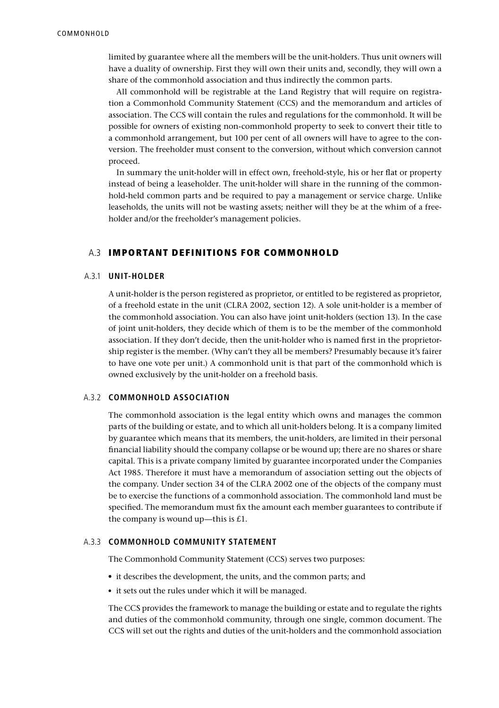limited by guarantee where all the members will be the unit-holders. Thus unit owners will have a duality of ownership. First they will own their units and, secondly, they will own a share of the commonhold association and thus indirectly the common parts.

All commonhold will be registrable at the Land Registry that will require on registration a Commonhold Community Statement (CCS) and the memorandum and articles of association. The CCS will contain the rules and regulations for the commonhold. It will be possible for owners of existing non-commonhold property to seek to convert their title to a commonhold arrangement, but 100 per cent of all owners will have to agree to the conversion. The freeholder must consent to the conversion, without which conversion cannot proceed.

In summary the unit-holder will in effect own, freehold-style, his or her flat or property instead of being a leaseholder. The unit-holder will share in the running of the commonhold-held common parts and be required to pay a management or service charge. Unlike leaseholds, the units will not be wasting assets; neither will they be at the whim of a freeholder and/or the freeholder's management policies.

# A.3 **IMPORTANT DEFINITIONS FOR COMMONHOLD**

# A.3.1 **UNIT-HOLDER**

A unit-holder is the person registered as proprietor, or entitled to be registered as proprietor, of a freehold estate in the unit (CLRA 2002, section 12). A sole unit-holder is a member of the commonhold association. You can also have joint unit-holders (section 13). In the case of joint unit-holders, they decide which of them is to be the member of the commonhold association. If they don't decide, then the unit-holder who is named first in the proprietorship register is the member. (Why can't they all be members? Presumably because it's fairer to have one vote per unit.) A commonhold unit is that part of the commonhold which is owned exclusively by the unit-holder on a freehold basis.

# A.3.2 **COMMONHOLD ASSOCIATION**

The commonhold association is the legal entity which owns and manages the common parts of the building or estate, and to which all unit-holders belong. It is a company limited by guarantee which means that its members, the unit-holders, are limited in their personal financial liability should the company collapse or be wound up; there are no shares or share capital. This is a private company limited by guarantee incorporated under the Companies Act 1985. Therefore it must have a memorandum of association setting out the objects of the company. Under section 34 of the CLRA 2002 one of the objects of the company must be to exercise the functions of a commonhold association. The commonhold land must be specified. The memorandum must fix the amount each member guarantees to contribute if the company is wound up—this is  $£1$ .

# A.3.3 **COMMONHOLD COMMUNITY STATEMENT**

The Commonhold Community Statement (CCS) serves two purposes:

- it describes the development, the units, and the common parts; and
- it sets out the rules under which it will be managed.

The CCS provides the framework to manage the building or estate and to regulate the rights and duties of the commonhold community, through one single, common document. The CCS will set out the rights and duties of the unit-holders and the commonhold association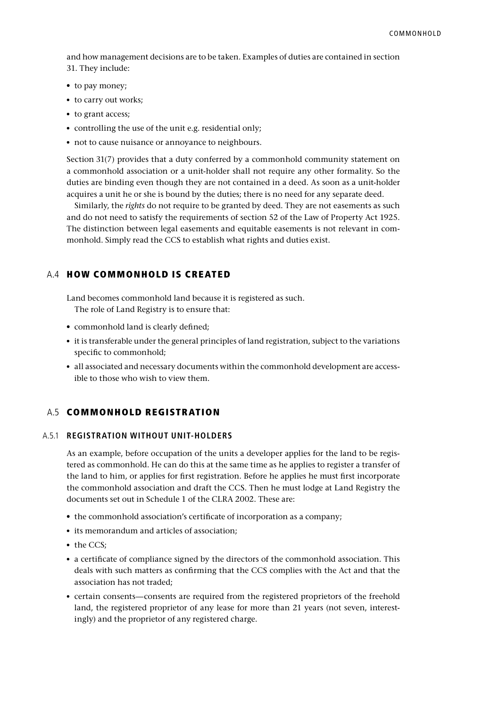and how management decisions are to be taken. Examples of duties are contained in section 31. They include:

- to pay money;
- to carry out works;
- to grant access;
- controlling the use of the unit e.g. residential only;
- not to cause nuisance or annoyance to neighbours.

Section 31(7) provides that a duty conferred by a commonhold community statement on a commonhold association or a unit-holder shall not require any other formality. So the duties are binding even though they are not contained in a deed. As soon as a unit-holder acquires a unit he or she is bound by the duties; there is no need for any separate deed.

Similarly, the *rights* do not require to be granted by deed. They are not easements as such and do not need to satisfy the requirements of section 52 of the Law of Property Act 1925. The distinction between legal easements and equitable easements is not relevant in commonhold. Simply read the CCS to establish what rights and duties exist.

# A.4 **HOW COMMONHOLD IS CREATED**

Land becomes commonhold land because it is registered as such. The role of Land Registry is to ensure that:

- commonhold land is clearly defined;
- it is transferable under the general principles of land registration, subject to the variations specific to commonhold;
- all associated and necessary documents within the commonhold development are accessible to those who wish to view them.

# A.5 **COMMONHOLD REGISTRATION**

# A.5.1 **REGISTRATION WITHOUT UNIT-HOLDERS**

As an example, before occupation of the units a developer applies for the land to be registered as commonhold. He can do this at the same time as he applies to register a transfer of the land to him, or applies for first registration. Before he applies he must first incorporate the commonhold association and draft the CCS. Then he must lodge at Land Registry the documents set out in Schedule 1 of the CLRA 2002. These are:

- the commonhold association's certificate of incorporation as a company;
- its memorandum and articles of association;
- the CCS:
- a certificate of compliance signed by the directors of the commonhold association. This deals with such matters as confirming that the CCS complies with the Act and that the association has not traded;
- certain consents—consents are required from the registered proprietors of the freehold land, the registered proprietor of any lease for more than 21 years (not seven, interestingly) and the proprietor of any registered charge.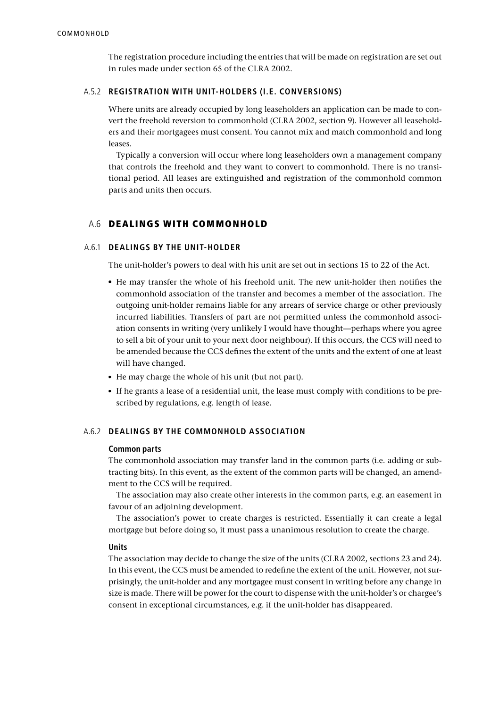The registration procedure including the entries that will be made on registration are set out in rules made under section 65 of the CLRA 2002.

# A.5.2 **REGISTRATION WITH UNIT-HOLDERS (I.E. CONVERSIONS)**

Where units are already occupied by long leaseholders an application can be made to convert the freehold reversion to commonhold (CLRA 2002, section 9). However all leaseholders and their mortgagees must consent. You cannot mix and match commonhold and long leases.

Typically a conversion will occur where long leaseholders own a management company that controls the freehold and they want to convert to commonhold. There is no transitional period. All leases are extinguished and registration of the commonhold common parts and units then occurs.

# A.6 **DEALINGS WITH COMMONHOLD**

#### A.6.1 **DEALINGS BY THE UNIT-HOLDER**

The unit-holder's powers to deal with his unit are set out in sections 15 to 22 of the Act.

- He may transfer the whole of his freehold unit. The new unit-holder then notifies the commonhold association of the transfer and becomes a member of the association. The outgoing unit-holder remains liable for any arrears of service charge or other previously incurred liabilities. Transfers of part are not permitted unless the commonhold association consents in writing (very unlikely I would have thought—perhaps where you agree to sell a bit of your unit to your next door neighbour). If this occurs, the CCS will need to be amended because the CCS defines the extent of the units and the extent of one at least will have changed.
- He may charge the whole of his unit (but not part).
- If he grants a lease of a residential unit, the lease must comply with conditions to be prescribed by regulations, e.g. length of lease.

# A.6.2 **DEALINGS BY THE COMMONHOLD ASSOCIATION**

#### **Common parts**

The commonhold association may transfer land in the common parts (i.e. adding or subtracting bits). In this event, as the extent of the common parts will be changed, an amendment to the CCS will be required.

The association may also create other interests in the common parts, e.g. an easement in favour of an adjoining development.

The association's power to create charges is restricted. Essentially it can create a legal mortgage but before doing so, it must pass a unanimous resolution to create the charge.

#### **Units**

The association may decide to change the size of the units (CLRA 2002, sections 23 and 24). In this event, the CCS must be amended to redefine the extent of the unit. However, not surprisingly, the unit-holder and any mortgagee must consent in writing before any change in size is made. There will be power for the court to dispense with the unit-holder's or chargee's consent in exceptional circumstances, e.g. if the unit-holder has disappeared.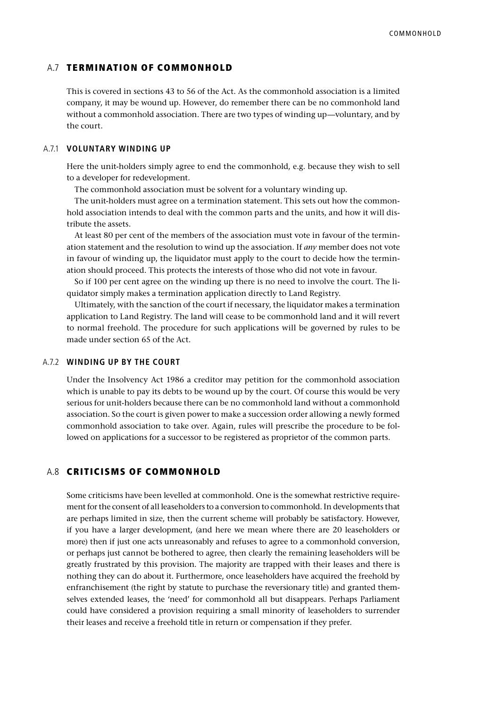# A.7 **TERMINATION OF COMMONHOLD**

This is covered in sections 43 to 56 of the Act. As the commonhold association is a limited company, it may be wound up. However, do remember there can be no commonhold land without a commonhold association. There are two types of winding up—voluntary, and by the court.

## A.7.1 **VOLUNTARY WINDING UP**

Here the unit-holders simply agree to end the commonhold, e.g. because they wish to sell to a developer for redevelopment.

The commonhold association must be solvent for a voluntary winding up.

The unit-holders must agree on a termination statement. This sets out how the commonhold association intends to deal with the common parts and the units, and how it will distribute the assets.

At least 80 per cent of the members of the association must vote in favour of the termination statement and the resolution to wind up the association. If *any* member does not vote in favour of winding up, the liquidator must apply to the court to decide how the termination should proceed. This protects the interests of those who did not vote in favour.

So if 100 per cent agree on the winding up there is no need to involve the court. The liquidator simply makes a termination application directly to Land Registry.

Ultimately, with the sanction of the court if necessary, the liquidator makes a termination application to Land Registry. The land will cease to be commonhold land and it will revert to normal freehold. The procedure for such applications will be governed by rules to be made under section 65 of the Act.

# A.7.2 **WINDING UP BY THE COURT**

Under the Insolvency Act 1986 a creditor may petition for the commonhold association which is unable to pay its debts to be wound up by the court. Of course this would be very serious for unit-holders because there can be no commonhold land without a commonhold association. So the court is given power to make a succession order allowing a newly formed commonhold association to take over. Again, rules will prescribe the procedure to be followed on applications for a successor to be registered as proprietor of the common parts.

# A.8 **CRITICISMS OF COMMONHOLD**

Some criticisms have been levelled at commonhold. One is the somewhat restrictive requirement for the consent of all leaseholders to a conversion to commonhold. In developments that are perhaps limited in size, then the current scheme will probably be satisfactory. However, if you have a larger development, (and here we mean where there are 20 leaseholders or more) then if just one acts unreasonably and refuses to agree to a commonhold conversion, or perhaps just cannot be bothered to agree, then clearly the remaining leaseholders will be greatly frustrated by this provision. The majority are trapped with their leases and there is nothing they can do about it. Furthermore, once leaseholders have acquired the freehold by enfranchisement (the right by statute to purchase the reversionary title) and granted themselves extended leases, the 'need' for commonhold all but disappears. Perhaps Parliament could have considered a provision requiring a small minority of leaseholders to surrender their leases and receive a freehold title in return or compensation if they prefer.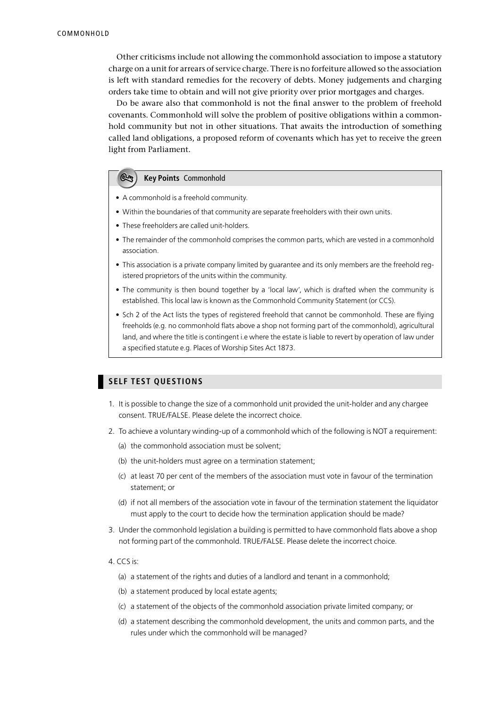Other criticisms include not allowing the commonhold association to impose a statutory charge on a unit for arrears of service charge. There is no forfeiture allowed so the association is left with standard remedies for the recovery of debts. Money judgements and charging orders take time to obtain and will not give priority over prior mortgages and charges.

Do be aware also that commonhold is not the final answer to the problem of freehold covenants. Commonhold will solve the problem of positive obligations within a commonhold community but not in other situations. That awaits the introduction of something called land obligations, a proposed reform of covenants which has yet to receive the green light from Parliament.

#### $Q_{xy}$ **Key Points** Commonhold

- A commonhold is a freehold community.
- Within the boundaries of that community are separate freeholders with their own units.
- These freeholders are called unit-holders.
- The remainder of the commonhold comprises the common parts, which are vested in a commonhold association.
- This association is a private company limited by guarantee and its only members are the freehold registered proprietors of the units within the community.
- The community is then bound together by a 'local law', which is drafted when the community is established. This local law is known as the Commonhold Community Statement (or CCS).
- Sch 2 of the Act lists the types of registered freehold that cannot be commonhold. These are flying freeholds (e.g. no commonhold flats above a shop not forming part of the commonhold), agricultural land, and where the title is contingent i.e where the estate is liable to revert by operation of law under a specified statute e.g. Places of Worship Sites Act 1873.

# **SELF TEST QUESTIONS**

- 1. It is possible to change the size of a commonhold unit provided the unit-holder and any chargee consent. TRUE/FALSE. Please delete the incorrect choice.
- 2. To achieve a voluntary winding-up of a commonhold which of the following is NOT a requirement:
	- (a) the commonhold association must be solvent;
	- (b) the unit-holders must agree on a termination statement;
	- (c) at least 70 per cent of the members of the association must vote in favour of the termination statement; or
	- (d) if not all members of the association vote in favour of the termination statement the liquidator must apply to the court to decide how the termination application should be made?
- 3. Under the commonhold legislation a building is permitted to have commonhold flats above a shop not forming part of the commonhold. TRUE/FALSE. Please delete the incorrect choice.
- 4. CCS is:
	- (a) a statement of the rights and duties of a landlord and tenant in a commonhold;
	- (b) a statement produced by local estate agents;
	- (c) a statement of the objects of the commonhold association private limited company; or
	- (d) a statement describing the commonhold development, the units and common parts, and the rules under which the commonhold will be managed?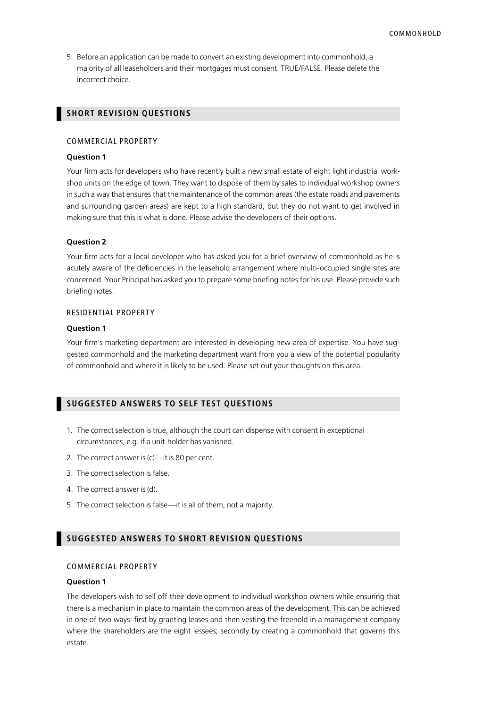5. Before an application can be made to convert an existing development into commonhold, a majority of all leaseholders and their mortgages must consent. TRUE/FALSE. Please delete the incorrect choice.

# **SHORT REVISION QUESTIONS**

#### COMMERCIAL PROPERT Y

#### **Question 1**

Your firm acts for developers who have recently built a new small estate of eight light industrial workshop units on the edge of town. They want to dispose of them by sales to individual workshop owners in such a way that ensures that the maintenance of the common areas (the estate roads and pavements and surrounding garden areas) are kept to a high standard, but they do not want to get involved in making sure that this is what is done. Please advise the developers of their options.

#### **Question 2**

Your firm acts for a local developer who has asked you for a brief overview of commonhold as he is acutely aware of the deficiencies in the leasehold arrangement where multi-occupied single sites are concerned. Your Principal has asked you to prepare some briefing notes for his use. Please provide such briefing notes.

#### RESIDENTIAL PROPERT Y

#### **Question 1**

Your firm's marketing department are interested in developing new area of expertise. You have suggested commonhold and the marketing department want from you a view of the potential popularity of commonhold and where it is likely to be used. Please set out your thoughts on this area.

# **SUGGESTED ANSWERS TO SELF TEST QUESTIONS**

- 1. The correct selection is true, although the court can dispense with consent in exceptional circumstances, e.g. if a unit-holder has vanished.
- 2. The correct answer is (c)—it is 80 per cent.
- 3. The correct selection is false.
- 4. The correct answer is (d).
- 5. The correct selection is false—it is all of them, not a majority.

# **SUGGESTED ANSWERS TO SHORT REVISION QUESTIONS**

# COMMERCIAL PROPERTY

#### **Question 1**

The developers wish to sell off their development to individual workshop owners while ensuring that there is a mechanism in place to maintain the common areas of the development. This can be achieved in one of two ways: first by granting leases and then vesting the freehold in a management company where the shareholders are the eight lessees; secondly by creating a commonhold that governs this estate.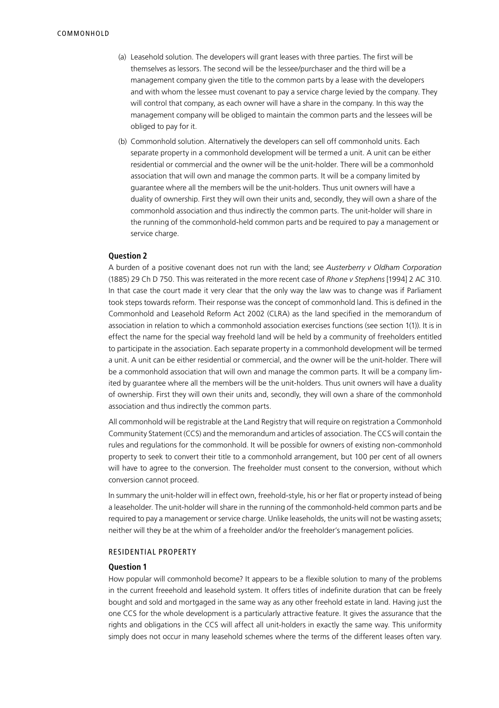- (a) Leasehold solution. The developers will grant leases with three parties. The first will be themselves as lessors. The second will be the lessee/purchaser and the third will be a management company given the title to the common parts by a lease with the developers and with whom the lessee must covenant to pay a service charge levied by the company. They will control that company, as each owner will have a share in the company. In this way the management company will be obliged to maintain the common parts and the lessees will be obliged to pay for it.
- (b) Commonhold solution. Alternatively the developers can sell off commonhold units. Each separate property in a commonhold development will be termed a unit. A unit can be either residential or commercial and the owner will be the unit-holder. There will be a commonhold association that will own and manage the common parts. It will be a company limited by guarantee where all the members will be the unit-holders. Thus unit owners will have a duality of ownership. First they will own their units and, secondly, they will own a share of the commonhold association and thus indirectly the common parts. The unit-holder will share in the running of the commonhold-held common parts and be required to pay a management or service charge.

# **Question 2**

A burden of a positive covenant does not run with the land; see *Austerberry v Oldham Corporation*  (1885) 29 Ch D 750. This was reiterated in the more recent case of *Rhone v Stephens* [1994] 2 AC 310. In that case the court made it very clear that the only way the law was to change was if Parliament took steps towards reform. Their response was the concept of commonhold land. This is defined in the Commonhold and Leasehold Reform Act 2002 (CLRA) as the land specified in the memorandum of association in relation to which a commonhold association exercises functions (see section 1(1)). It is in effect the name for the special way freehold land will be held by a community of freeholders entitled to participate in the association. Each separate property in a commonhold development will be termed a unit. A unit can be either residential or commercial, and the owner will be the unit-holder. There will be a commonhold association that will own and manage the common parts. It will be a company limited by guarantee where all the members will be the unit-holders. Thus unit owners will have a duality of ownership. First they will own their units and, secondly, they will own a share of the commonhold association and thus indirectly the common parts.

All commonhold will be registrable at the Land Registry that will require on registration a Commonhold Community Statement (CCS) and the memorandum and articles of association. The CCS will contain the rules and regulations for the commonhold. It will be possible for owners of existing non-commonhold property to seek to convert their title to a commonhold arrangement, but 100 per cent of all owners will have to agree to the conversion. The freeholder must consent to the conversion, without which conversion cannot proceed.

In summary the unit-holder will in effect own, freehold-style, his or her flat or property instead of being a leaseholder. The unit-holder will share in the running of the commonhold-held common parts and be required to pay a management or service charge. Unlike leaseholds, the units will not be wasting assets; neither will they be at the whim of a freeholder and/or the freeholder's management policies.

## RESIDENTIAL PROPERTY

#### **Question 1**

How popular will commonhold become? It appears to be a flexible solution to many of the problems in the current freeehold and leasehold system. It offers titles of indefinite duration that can be freely bought and sold and mortgaged in the same way as any other freehold estate in land. Having just the one CCS for the whole development is a particularly attractive feature. It gives the assurance that the rights and obligations in the CCS will affect all unit-holders in exactly the same way. This uniformity simply does not occur in many leasehold schemes where the terms of the different leases often vary.